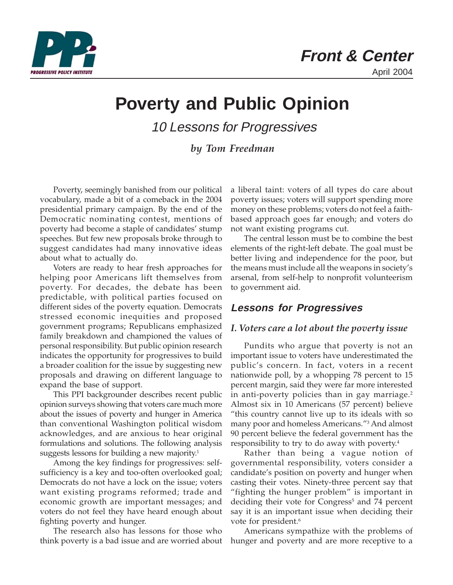

# **Poverty and Public Opinion**

10 Lessons for Progressives

*by Tom Freedman*

Poverty, seemingly banished from our political vocabulary, made a bit of a comeback in the 2004 presidential primary campaign. By the end of the Democratic nominating contest, mentions of poverty had become a staple of candidates' stump speeches. But few new proposals broke through to suggest candidates had many innovative ideas about what to actually do.

Voters are ready to hear fresh approaches for helping poor Americans lift themselves from poverty. For decades, the debate has been predictable, with political parties focused on different sides of the poverty equation. Democrats stressed economic inequities and proposed government programs; Republicans emphasized family breakdown and championed the values of personal responsibility. But public opinion research indicates the opportunity for progressives to build a broader coalition for the issue by suggesting new proposals and drawing on different language to expand the base of support.

This PPI backgrounder describes recent public opinion surveys showing that voters care much more about the issues of poverty and hunger in America than conventional Washington political wisdom acknowledges, and are anxious to hear original formulations and solutions. The following analysis suggests lessons for building a new majority.<sup>1</sup>

Among the key findings for progressives: selfsufficiency is a key and too-often overlooked goal; Democrats do not have a lock on the issue; voters want existing programs reformed; trade and economic growth are important messages; and voters do not feel they have heard enough about fighting poverty and hunger.

The research also has lessons for those who think poverty is a bad issue and are worried about a liberal taint: voters of all types do care about poverty issues; voters will support spending more money on these problems; voters do not feel a faithbased approach goes far enough; and voters do not want existing programs cut.

The central lesson must be to combine the best elements of the right-left debate. The goal must be better living and independence for the poor, but the means must include all the weapons in society's arsenal, from self-help to nonprofit volunteerism to government aid.

## **Lessons for Progressives**

#### *I. Voters care a lot about the poverty issue*

Pundits who argue that poverty is not an important issue to voters have underestimated the public's concern. In fact, voters in a recent nationwide poll, by a whopping 78 percent to 15 percent margin, said they were far more interested in anti-poverty policies than in gay marriage.<sup>2</sup> Almost six in 10 Americans (57 percent) believe "this country cannot live up to its ideals with so many poor and homeless Americans."3 And almost 90 percent believe the federal government has the responsibility to try to do away with poverty.4

Rather than being a vague notion of governmental responsibility, voters consider a candidate's position on poverty and hunger when casting their votes. Ninety-three percent say that "fighting the hunger problem" is important in deciding their vote for Congress<sup>5</sup> and 74 percent say it is an important issue when deciding their vote for president.<sup>6</sup>

Americans sympathize with the problems of hunger and poverty and are more receptive to a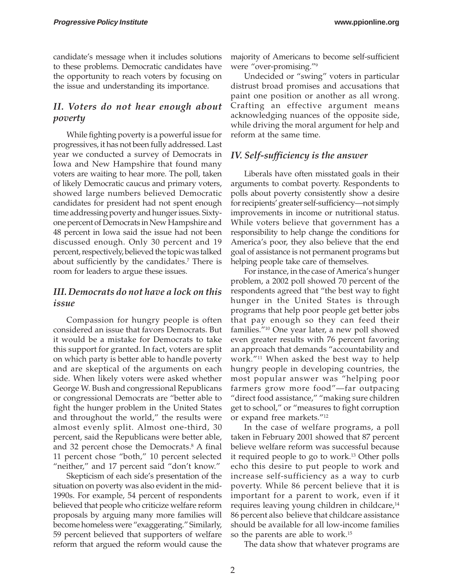candidate's message when it includes solutions to these problems. Democratic candidates have the opportunity to reach voters by focusing on the issue and understanding its importance.

## *II. Voters do not hear enough about poverty*

While fighting poverty is a powerful issue for progressives, it has not been fully addressed. Last year we conducted a survey of Democrats in Iowa and New Hampshire that found many voters are waiting to hear more. The poll, taken of likely Democratic caucus and primary voters, showed large numbers believed Democratic candidates for president had not spent enough time addressing poverty and hunger issues. Sixtyone percent of Democrats in New Hampshire and 48 percent in Iowa said the issue had not been discussed enough. Only 30 percent and 19 percent, respectively, believed the topic was talked about sufficiently by the candidates.<sup>7</sup> There is room for leaders to argue these issues.

## *III. Democrats do not have a lock on this issue*

Compassion for hungry people is often considered an issue that favors Democrats. But it would be a mistake for Democrats to take this support for granted. In fact, voters are split on which party is better able to handle poverty and are skeptical of the arguments on each side. When likely voters were asked whether George W. Bush and congressional Republicans or congressional Democrats are "better able to fight the hunger problem in the United States and throughout the world," the results were almost evenly split. Almost one-third, 30 percent, said the Republicans were better able, and 32 percent chose the Democrats.<sup>8</sup> A final 11 percent chose "both," 10 percent selected "neither," and 17 percent said "don't know."

Skepticism of each side's presentation of the situation on poverty was also evident in the mid-1990s. For example, 54 percent of respondents believed that people who criticize welfare reform proposals by arguing many more families will become homeless were "exaggerating." Similarly, 59 percent believed that supporters of welfare reform that argued the reform would cause the majority of Americans to become self-sufficient were "over-promising."9

Undecided or "swing" voters in particular distrust broad promises and accusations that paint one position or another as all wrong. Crafting an effective argument means acknowledging nuances of the opposite side, while driving the moral argument for help and reform at the same time.

## *IV. Self-sufficiency is the answer*

Liberals have often misstated goals in their arguments to combat poverty. Respondents to polls about poverty consistently show a desire for recipients' greater self-sufficiency—not simply improvements in income or nutritional status. While voters believe that government has a responsibility to help change the conditions for America's poor, they also believe that the end goal of assistance is not permanent programs but helping people take care of themselves.

For instance, in the case of America's hunger problem, a 2002 poll showed 70 percent of the respondents agreed that "the best way to fight hunger in the United States is through programs that help poor people get better jobs that pay enough so they can feed their families."10 One year later, a new poll showed even greater results with 76 percent favoring an approach that demands "accountability and work."11 When asked the best way to help hungry people in developing countries, the most popular answer was "helping poor farmers grow more food"—far outpacing "direct food assistance," "making sure children get to school," or "measures to fight corruption or expand free markets."12

In the case of welfare programs, a poll taken in February 2001 showed that 87 percent believe welfare reform was successful because it required people to go to work.<sup>13</sup> Other polls echo this desire to put people to work and increase self-sufficiency as a way to curb poverty. While 86 percent believe that it is important for a parent to work, even if it requires leaving young children in childcare,<sup>14</sup> 86 percent also believe that childcare assistance should be available for all low-income families so the parents are able to work.15

The data show that whatever programs are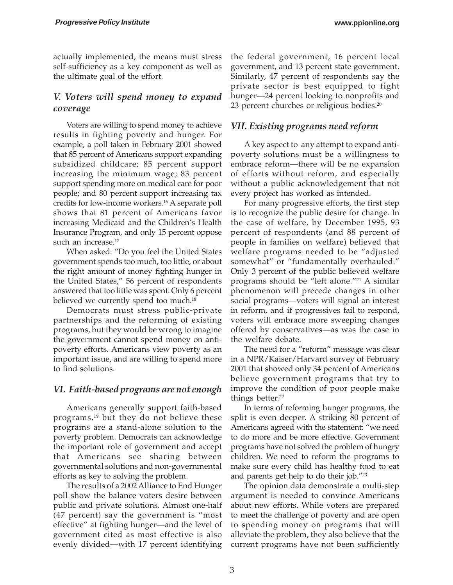actually implemented, the means must stress self-sufficiency as a key component as well as the ultimate goal of the effort.

### *V. Voters will spend money to expand coverage*

Voters are willing to spend money to achieve results in fighting poverty and hunger. For example, a poll taken in February 2001 showed that 85 percent of Americans support expanding subsidized childcare; 85 percent support increasing the minimum wage; 83 percent support spending more on medical care for poor people; and 80 percent support increasing tax credits for low-income workers.16 A separate poll shows that 81 percent of Americans favor increasing Medicaid and the Children's Health Insurance Program, and only 15 percent oppose such an increase.<sup>17</sup>

When asked: "Do you feel the United States government spends too much, too little, or about the right amount of money fighting hunger in the United States," 56 percent of respondents answered that too little was spent. Only 6 percent believed we currently spend too much.<sup>18</sup>

Democrats must stress public-private partnerships and the reforming of existing programs, but they would be wrong to imagine the government cannot spend money on antipoverty efforts. Americans view poverty as an important issue, and are willing to spend more to find solutions.

#### *VI. Faith-based programs are not enough*

Americans generally support faith-based programs,<sup>19</sup> but they do not believe these programs are a stand-alone solution to the poverty problem. Democrats can acknowledge the important role of government and accept that Americans see sharing between governmental solutions and non-governmental efforts as key to solving the problem.

The results of a 2002 Alliance to End Hunger poll show the balance voters desire between public and private solutions. Almost one-half (47 percent) say the government is "most effective" at fighting hunger—and the level of government cited as most effective is also evenly divided—with 17 percent identifying

the federal government, 16 percent local government, and 13 percent state government. Similarly, 47 percent of respondents say the private sector is best equipped to fight hunger—24 percent looking to nonprofits and 23 percent churches or religious bodies.<sup>20</sup>

#### *VII. Existing programs need reform*

A key aspect to any attempt to expand antipoverty solutions must be a willingness to embrace reform—there will be no expansion of efforts without reform, and especially without a public acknowledgement that not every project has worked as intended.

For many progressive efforts, the first step is to recognize the public desire for change. In the case of welfare, by December 1995, 93 percent of respondents (and 88 percent of people in families on welfare) believed that welfare programs needed to be "adjusted somewhat" or "fundamentally overhauled." Only 3 percent of the public believed welfare programs should be "left alone."21 A similar phenomenon will precede changes in other social programs—voters will signal an interest in reform, and if progressives fail to respond, voters will embrace more sweeping changes offered by conservatives—as was the case in the welfare debate.

The need for a "reform" message was clear in a NPR/Kaiser/Harvard survey of February 2001 that showed only 34 percent of Americans believe government programs that try to improve the condition of poor people make things better.<sup>22</sup>

In terms of reforming hunger programs, the split is even deeper. A striking 80 percent of Americans agreed with the statement: "we need to do more and be more effective. Government programs have not solved the problem of hungry children. We need to reform the programs to make sure every child has healthy food to eat and parents get help to do their job."23

The opinion data demonstrate a multi-step argument is needed to convince Americans about new efforts. While voters are prepared to meet the challenge of poverty and are open to spending money on programs that will alleviate the problem, they also believe that the current programs have not been sufficiently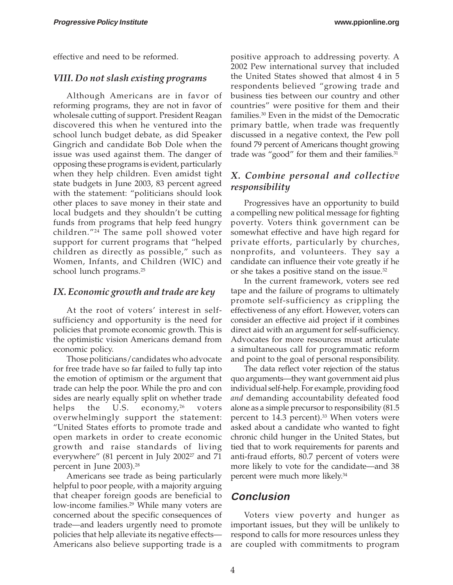effective and need to be reformed.

#### *VIII. Do not slash existing programs*

Although Americans are in favor of reforming programs, they are not in favor of wholesale cutting of support. President Reagan discovered this when he ventured into the school lunch budget debate, as did Speaker Gingrich and candidate Bob Dole when the issue was used against them. The danger of opposing these programs is evident, particularly when they help children. Even amidst tight state budgets in June 2003, 83 percent agreed with the statement: "politicians should look other places to save money in their state and local budgets and they shouldn't be cutting funds from programs that help feed hungry children."24 The same poll showed voter support for current programs that "helped children as directly as possible," such as Women, Infants, and Children (WIC) and school lunch programs.<sup>25</sup>

#### *IX. Economic growth and trade are key*

At the root of voters' interest in selfsufficiency and opportunity is the need for policies that promote economic growth. This is the optimistic vision Americans demand from economic policy.

Those politicians/candidates who advocate for free trade have so far failed to fully tap into the emotion of optimism or the argument that trade can help the poor. While the pro and con sides are nearly equally split on whether trade helps the U.S. economy,  $2^6$  voters overwhelmingly support the statement: "United States efforts to promote trade and open markets in order to create economic growth and raise standards of living everywhere" (81 percent in July 2002 $2^2$  and 71 percent in June 2003).28

Americans see trade as being particularly helpful to poor people, with a majority arguing that cheaper foreign goods are beneficial to low-income families.<sup>29</sup> While many voters are concerned about the specific consequences of trade—and leaders urgently need to promote policies that help alleviate its negative effects— Americans also believe supporting trade is a

positive approach to addressing poverty. A 2002 Pew international survey that included the United States showed that almost 4 in 5 respondents believed "growing trade and business ties between our country and other countries" were positive for them and their families.30 Even in the midst of the Democratic primary battle, when trade was frequently discussed in a negative context, the Pew poll found 79 percent of Americans thought growing trade was "good" for them and their families.<sup>31</sup>

## *X. Combine personal and collective responsibility*

Progressives have an opportunity to build a compelling new political message for fighting poverty. Voters think government can be somewhat effective and have high regard for private efforts, particularly by churches, nonprofits, and volunteers. They say a candidate can influence their vote greatly if he or she takes a positive stand on the issue.<sup>32</sup>

In the current framework, voters see red tape and the failure of programs to ultimately promote self-sufficiency as crippling the effectiveness of any effort. However, voters can consider an effective aid project if it combines direct aid with an argument for self-sufficiency. Advocates for more resources must articulate a simultaneous call for programmatic reform and point to the goal of personal responsibility.

The data reflect voter rejection of the status quo arguments—they want government aid plus individual self-help. For example, providing food *and* demanding accountability defeated food alone as a simple precursor to responsibility (81.5 percent to 14.3 percent).<sup>33</sup> When voters were asked about a candidate who wanted to fight chronic child hunger in the United States, but tied that to work requirements for parents and anti-fraud efforts, 80.7 percent of voters were more likely to vote for the candidate—and 38 percent were much more likely.<sup>34</sup>

## **Conclusion**

Voters view poverty and hunger as important issues, but they will be unlikely to respond to calls for more resources unless they are coupled with commitments to program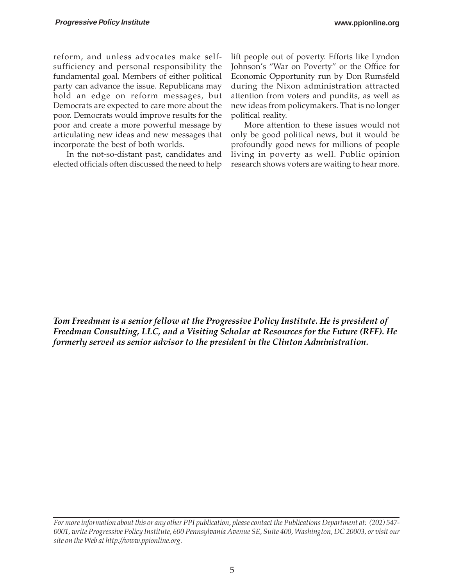reform, and unless advocates make selfsufficiency and personal responsibility the fundamental goal. Members of either political party can advance the issue. Republicans may hold an edge on reform messages, but Democrats are expected to care more about the poor. Democrats would improve results for the poor and create a more powerful message by articulating new ideas and new messages that incorporate the best of both worlds.

In the not-so-distant past, candidates and elected officials often discussed the need to help

lift people out of poverty. Efforts like Lyndon Johnson's "War on Poverty" or the Office for Economic Opportunity run by Don Rumsfeld during the Nixon administration attracted attention from voters and pundits, as well as new ideas from policymakers. That is no longer political reality.

More attention to these issues would not only be good political news, but it would be profoundly good news for millions of people living in poverty as well. Public opinion research shows voters are waiting to hear more.

*Tom Freedman is a senior fellow at the Progressive Policy Institute. He is president of Freedman Consulting, LLC, and a Visiting Scholar at Resources for the Future (RFF). He formerly served as senior advisor to the president in the Clinton Administration.*

*For more information about this or any other PPI publication, please contact the Publications Department at: (202) 547- 0001, write Progressive Policy Institute, 600 Pennsylvania Avenue SE, Suite 400, Washington, DC 20003, or visit our site on the Web at http://www.ppionline.org.*